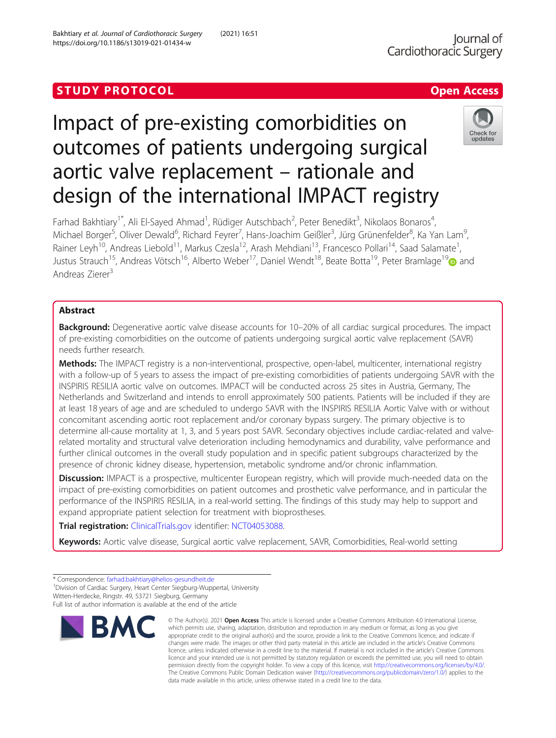# Check for undate

Impact of pre-existing comorbidities on outcomes of patients undergoing surgical aortic valve replacement – rationale and design of the international IMPACT registry

Farhad Bakhtiary<sup>1\*</sup>, Ali El-Sayed Ahmad<sup>1</sup>, Rüdiger Autschbach<sup>2</sup>, Peter Benedikt<sup>3</sup>, Nikolaos Bonaros<sup>4</sup> , Michael Borger<sup>5</sup>, Oliver Dewald<sup>6</sup>, Richard Feyrer<sup>7</sup>, Hans-Joachim Geißler<sup>3</sup>, Jürg Grünenfelder<sup>8</sup>, Ka Yan Lam<sup>s</sup> , Rainer Leyh<sup>10</sup>, Andreas Liebold<sup>11</sup>, Markus Czesla<sup>12</sup>, Arash Mehdiani<sup>13</sup>, Francesco Pollari<sup>14</sup>, Saad Salamate<sup>1</sup>, , Justus Strauch<sup>15</sup>, Andreas Vötsch<sup>16</sup>, Alberto Weber<sup>17</sup>, Daniel Wendt<sup>18</sup>, Beate Botta<sup>19</sup>, Peter Bramlage<sup>19</sup> and Andreas Zierer<sup>3</sup>

# Abstract

Background: Degenerative aortic valve disease accounts for 10–20% of all cardiac surgical procedures. The impact of pre-existing comorbidities on the outcome of patients undergoing surgical aortic valve replacement (SAVR) needs further research.

Methods: The IMPACT registry is a non-interventional, prospective, open-label, multicenter, international registry with a follow-up of 5 years to assess the impact of pre-existing comorbidities of patients undergoing SAVR with the INSPIRIS RESILIA aortic valve on outcomes. IMPACT will be conducted across 25 sites in Austria, Germany, The Netherlands and Switzerland and intends to enroll approximately 500 patients. Patients will be included if they are at least 18 years of age and are scheduled to undergo SAVR with the INSPIRIS RESILIA Aortic Valve with or without concomitant ascending aortic root replacement and/or coronary bypass surgery. The primary objective is to determine all-cause mortality at 1, 3, and 5 years post SAVR. Secondary objectives include cardiac-related and valverelated mortality and structural valve deterioration including hemodynamics and durability, valve performance and further clinical outcomes in the overall study population and in specific patient subgroups characterized by the presence of chronic kidney disease, hypertension, metabolic syndrome and/or chronic inflammation.

Discussion: IMPACT is a prospective, multicenter European registry, which will provide much-needed data on the impact of pre-existing comorbidities on patient outcomes and prosthetic valve performance, and in particular the performance of the INSPIRIS RESILIA, in a real-world setting. The findings of this study may help to support and expand appropriate patient selection for treatment with bioprostheses.

Trial registration: [ClinicalTrials.gov](http://clinicaltrials.gov) identifier: [NCT04053088](https://clinicaltrials.gov/ct/show/NCT04053088).

Keywords: Aortic valve disease, Surgical aortic valve replacement, SAVR, Comorbidities, Real-world setting

<sup>1</sup> Division of Cardiac Surgery, Heart Center Siegburg-Wuppertal, University Witten-Herdecke, Ringstr. 49, 53721 Siegburg, Germany

Full list of author information is available at the end of the article



<sup>©</sup> The Author(s), 2021 **Open Access** This article is licensed under a Creative Commons Attribution 4.0 International License, which permits use, sharing, adaptation, distribution and reproduction in any medium or format, as long as you give appropriate credit to the original author(s) and the source, provide a link to the Creative Commons licence, and indicate if changes were made. The images or other third party material in this article are included in the article's Creative Commons licence, unless indicated otherwise in a credit line to the material. If material is not included in the article's Creative Commons licence and your intended use is not permitted by statutory regulation or exceeds the permitted use, you will need to obtain permission directly from the copyright holder. To view a copy of this licence, visit [http://creativecommons.org/licenses/by/4.0/.](http://creativecommons.org/licenses/by/4.0/) The Creative Commons Public Domain Dedication waiver [\(http://creativecommons.org/publicdomain/zero/1.0/](http://creativecommons.org/publicdomain/zero/1.0/)) applies to the data made available in this article, unless otherwise stated in a credit line to the data.

<sup>\*</sup> Correspondence: [farhad.bakhtiary@helios-gesundheit.de](mailto:farhad.bakhtiary@helios-gesundheit.de) <sup>1</sup>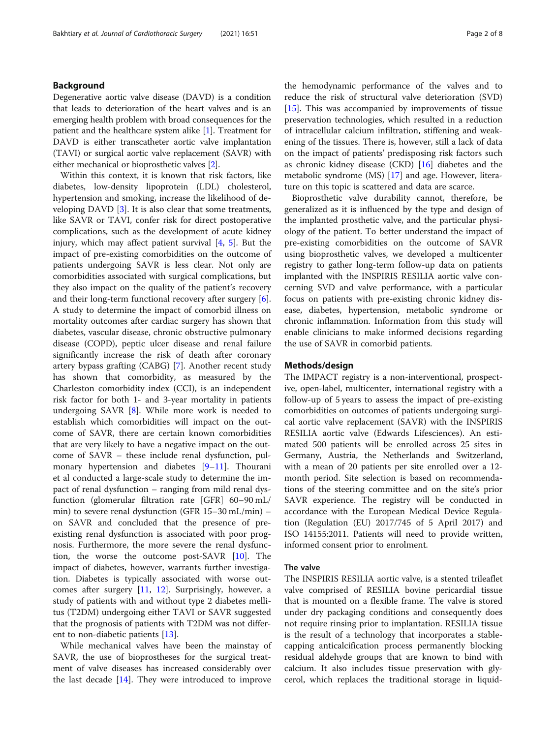### Background

Degenerative aortic valve disease (DAVD) is a condition that leads to deterioration of the heart valves and is an emerging health problem with broad consequences for the patient and the healthcare system alike [\[1](#page-6-0)]. Treatment for DAVD is either transcatheter aortic valve implantation (TAVI) or surgical aortic valve replacement (SAVR) with either mechanical or bioprosthetic valves [[2\]](#page-6-0).

Within this context, it is known that risk factors, like diabetes, low-density lipoprotein (LDL) cholesterol, hypertension and smoking, increase the likelihood of developing DAVD [\[3](#page-6-0)]. It is also clear that some treatments, like SAVR or TAVI, confer risk for direct postoperative complications, such as the development of acute kidney injury, which may affect patient survival  $[4, 5]$  $[4, 5]$  $[4, 5]$  $[4, 5]$ . But the impact of pre-existing comorbidities on the outcome of patients undergoing SAVR is less clear. Not only are comorbidities associated with surgical complications, but they also impact on the quality of the patient's recovery and their long-term functional recovery after surgery [\[6](#page-6-0)]. A study to determine the impact of comorbid illness on mortality outcomes after cardiac surgery has shown that diabetes, vascular disease, chronic obstructive pulmonary disease (COPD), peptic ulcer disease and renal failure significantly increase the risk of death after coronary artery bypass grafting (CABG) [[7](#page-6-0)]. Another recent study has shown that comorbidity, as measured by the Charleston comorbidity index (CCI), is an independent risk factor for both 1- and 3-year mortality in patients undergoing SAVR  $[8]$  $[8]$ . While more work is needed to establish which comorbidities will impact on the outcome of SAVR, there are certain known comorbidities that are very likely to have a negative impact on the outcome of SAVR – these include renal dysfunction, pulmonary hypertension and diabetes [\[9](#page-6-0)–[11](#page-7-0)]. Thourani et al conducted a large-scale study to determine the impact of renal dysfunction – ranging from mild renal dysfunction (glomerular filtration rate [GFR] 60–90 mL/ min) to severe renal dysfunction (GFR 15–30 mL/min) – on SAVR and concluded that the presence of preexisting renal dysfunction is associated with poor prognosis. Furthermore, the more severe the renal dysfunction, the worse the outcome post-SAVR [[10\]](#page-6-0). The impact of diabetes, however, warrants further investigation. Diabetes is typically associated with worse outcomes after surgery [\[11](#page-7-0), [12](#page-7-0)]. Surprisingly, however, a study of patients with and without type 2 diabetes mellitus (T2DM) undergoing either TAVI or SAVR suggested that the prognosis of patients with T2DM was not different to non-diabetic patients [\[13](#page-7-0)].

While mechanical valves have been the mainstay of SAVR, the use of bioprostheses for the surgical treatment of valve diseases has increased considerably over the last decade [[14](#page-7-0)]. They were introduced to improve the hemodynamic performance of the valves and to reduce the risk of structural valve deterioration (SVD) [[15\]](#page-7-0). This was accompanied by improvements of tissue preservation technologies, which resulted in a reduction of intracellular calcium infiltration, stiffening and weakening of the tissues. There is, however, still a lack of data on the impact of patients' predisposing risk factors such as chronic kidney disease (CKD) [\[16](#page-7-0)] diabetes and the metabolic syndrome (MS) [[17](#page-7-0)] and age. However, literature on this topic is scattered and data are scarce.

Bioprosthetic valve durability cannot, therefore, be generalized as it is influenced by the type and design of the implanted prosthetic valve, and the particular physiology of the patient. To better understand the impact of pre-existing comorbidities on the outcome of SAVR using bioprosthetic valves, we developed a multicenter registry to gather long-term follow-up data on patients implanted with the INSPIRIS RESILIA aortic valve concerning SVD and valve performance, with a particular focus on patients with pre-existing chronic kidney disease, diabetes, hypertension, metabolic syndrome or chronic inflammation. Information from this study will enable clinicians to make informed decisions regarding the use of SAVR in comorbid patients.

#### Methods/design

The IMPACT registry is a non-interventional, prospective, open-label, multicenter, international registry with a follow-up of 5 years to assess the impact of pre-existing comorbidities on outcomes of patients undergoing surgical aortic valve replacement (SAVR) with the INSPIRIS RESILIA aortic valve (Edwards Lifesciences). An estimated 500 patients will be enrolled across 25 sites in Germany, Austria, the Netherlands and Switzerland, with a mean of 20 patients per site enrolled over a 12 month period. Site selection is based on recommendations of the steering committee and on the site's prior SAVR experience. The registry will be conducted in accordance with the European Medical Device Regulation (Regulation (EU) 2017/745 of 5 April 2017) and ISO 14155:2011. Patients will need to provide written, informed consent prior to enrolment.

#### The valve

The INSPIRIS RESILIA aortic valve, is a stented trileaflet valve comprised of RESILIA bovine pericardial tissue that is mounted on a flexible frame. The valve is stored under dry packaging conditions and consequently does not require rinsing prior to implantation. RESILIA tissue is the result of a technology that incorporates a stablecapping anticalcification process permanently blocking residual aldehyde groups that are known to bind with calcium. It also includes tissue preservation with glycerol, which replaces the traditional storage in liquid-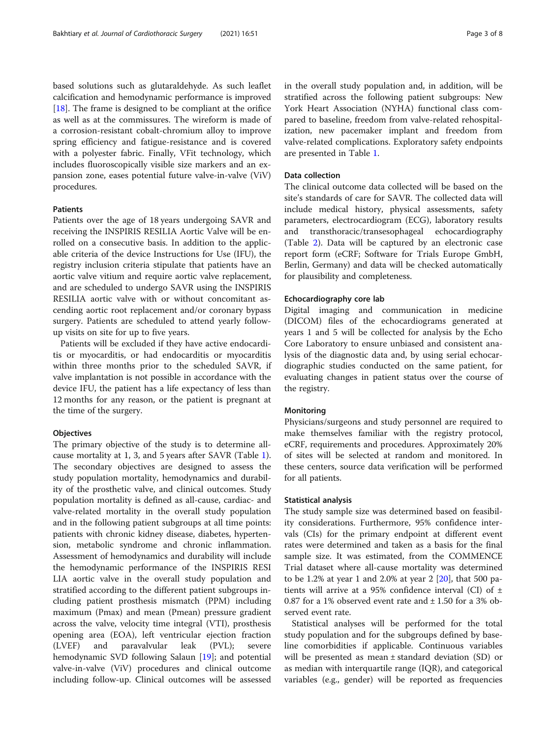based solutions such as glutaraldehyde. As such leaflet calcification and hemodynamic performance is improved [ $18$ ]. The frame is designed to be compliant at the orifice as well as at the commissures. The wireform is made of a corrosion-resistant cobalt-chromium alloy to improve spring efficiency and fatigue-resistance and is covered with a polyester fabric. Finally, VFit technology, which includes fluoroscopically visible size markers and an expansion zone, eases potential future valve-in-valve (ViV) procedures.

### Patients

Patients over the age of 18 years undergoing SAVR and receiving the INSPIRIS RESILIA Aortic Valve will be enrolled on a consecutive basis. In addition to the applicable criteria of the device Instructions for Use (IFU), the registry inclusion criteria stipulate that patients have an aortic valve vitium and require aortic valve replacement, and are scheduled to undergo SAVR using the INSPIRIS RESILIA aortic valve with or without concomitant ascending aortic root replacement and/or coronary bypass surgery. Patients are scheduled to attend yearly followup visits on site for up to five years.

Patients will be excluded if they have active endocarditis or myocarditis, or had endocarditis or myocarditis within three months prior to the scheduled SAVR, if valve implantation is not possible in accordance with the device IFU, the patient has a life expectancy of less than 12 months for any reason, or the patient is pregnant at the time of the surgery.

#### **Objectives**

The primary objective of the study is to determine allcause mortality at 1, 3, and 5 years after SAVR (Table [1](#page-3-0)). The secondary objectives are designed to assess the study population mortality, hemodynamics and durability of the prosthetic valve, and clinical outcomes. Study population mortality is defined as all-cause, cardiac- and valve-related mortality in the overall study population and in the following patient subgroups at all time points: patients with chronic kidney disease, diabetes, hypertension, metabolic syndrome and chronic inflammation. Assessment of hemodynamics and durability will include the hemodynamic performance of the INSPIRIS RESI LIA aortic valve in the overall study population and stratified according to the different patient subgroups including patient prosthesis mismatch (PPM) including maximum (Pmax) and mean (Pmean) pressure gradient across the valve, velocity time integral (VTI), prosthesis opening area (EOA), left ventricular ejection fraction (LVEF) and paravalvular leak (PVL); severe hemodynamic SVD following Salaun [[19](#page-7-0)]; and potential valve-in-valve (ViV) procedures and clinical outcome including follow-up. Clinical outcomes will be assessed in the overall study population and, in addition, will be stratified across the following patient subgroups: New York Heart Association (NYHA) functional class compared to baseline, freedom from valve-related rehospitalization, new pacemaker implant and freedom from valve-related complications. Exploratory safety endpoints are presented in Table [1.](#page-3-0)

### Data collection

The clinical outcome data collected will be based on the site's standards of care for SAVR. The collected data will include medical history, physical assessments, safety parameters, electrocardiogram (ECG), laboratory results and transthoracic/transesophageal echocardiography (Table [2](#page-4-0)). Data will be captured by an electronic case report form (eCRF; Software for Trials Europe GmbH, Berlin, Germany) and data will be checked automatically for plausibility and completeness.

#### Echocardiography core lab

Digital imaging and communication in medicine (DICOM) files of the echocardiograms generated at years 1 and 5 will be collected for analysis by the Echo Core Laboratory to ensure unbiased and consistent analysis of the diagnostic data and, by using serial echocardiographic studies conducted on the same patient, for evaluating changes in patient status over the course of the registry.

#### Monitoring

Physicians/surgeons and study personnel are required to make themselves familiar with the registry protocol, eCRF, requirements and procedures. Approximately 20% of sites will be selected at random and monitored. In these centers, source data verification will be performed for all patients.

#### Statistical analysis

The study sample size was determined based on feasibility considerations. Furthermore, 95% confidence intervals (CIs) for the primary endpoint at different event rates were determined and taken as a basis for the final sample size. It was estimated, from the COMMENCE Trial dataset where all-cause mortality was determined to be 1.2% at year 1 and 2.0% at year 2 [\[20](#page-7-0)], that 500 patients will arrive at a 95% confidence interval (CI) of  $\pm$ 0.87 for a 1% observed event rate and  $\pm$  1.50 for a 3% observed event rate.

Statistical analyses will be performed for the total study population and for the subgroups defined by baseline comorbidities if applicable. Continuous variables will be presented as mean ± standard deviation (SD) or as median with interquartile range (IQR), and categorical variables (e.g., gender) will be reported as frequencies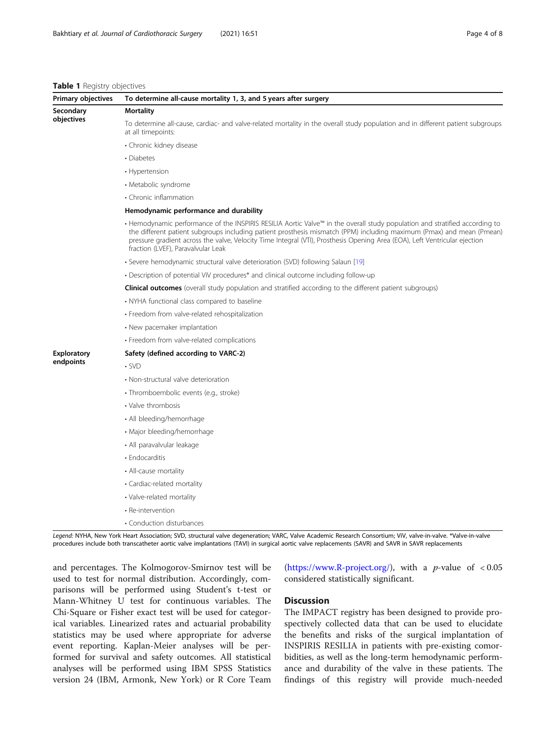#### <span id="page-3-0"></span>Table 1 Registry objectives

| Primary objectives      | To determine all-cause mortality 1, 3, and 5 years after surgery                                                                                                                                                                                                                                                                                                                                                         |  |  |  |  |
|-------------------------|--------------------------------------------------------------------------------------------------------------------------------------------------------------------------------------------------------------------------------------------------------------------------------------------------------------------------------------------------------------------------------------------------------------------------|--|--|--|--|
| Secondary<br>objectives | <b>Mortality</b>                                                                                                                                                                                                                                                                                                                                                                                                         |  |  |  |  |
|                         | To determine all-cause, cardiac- and valve-related mortality in the overall study population and in different patient subgroups<br>at all timepoints:                                                                                                                                                                                                                                                                    |  |  |  |  |
|                         | • Chronic kidney disease                                                                                                                                                                                                                                                                                                                                                                                                 |  |  |  |  |
|                         | • Diabetes                                                                                                                                                                                                                                                                                                                                                                                                               |  |  |  |  |
|                         | • Hypertension                                                                                                                                                                                                                                                                                                                                                                                                           |  |  |  |  |
|                         | • Metabolic syndrome                                                                                                                                                                                                                                                                                                                                                                                                     |  |  |  |  |
|                         | • Chronic inflammation                                                                                                                                                                                                                                                                                                                                                                                                   |  |  |  |  |
|                         | Hemodynamic performance and durability                                                                                                                                                                                                                                                                                                                                                                                   |  |  |  |  |
|                         | · Hemodynamic performance of the INSPIRIS RESILIA Aortic Valve™ in the overall study population and stratified according to<br>the different patient subgroups including patient prosthesis mismatch (PPM) including maximum (Pmax) and mean (Pmean)<br>pressure gradient across the valve, Velocity Time Integral (VTI), Prosthesis Opening Area (EOA), Left Ventricular ejection<br>fraction (LVEF), Paravalvular Leak |  |  |  |  |
|                         | · Severe hemodynamic structural valve deterioration (SVD) following Salaun [19]                                                                                                                                                                                                                                                                                                                                          |  |  |  |  |
|                         | • Description of potential ViV procedures* and clinical outcome including follow-up                                                                                                                                                                                                                                                                                                                                      |  |  |  |  |
|                         | <b>Clinical outcomes</b> (overall study population and stratified according to the different patient subgroups)                                                                                                                                                                                                                                                                                                          |  |  |  |  |
|                         | • NYHA functional class compared to baseline                                                                                                                                                                                                                                                                                                                                                                             |  |  |  |  |
|                         | · Freedom from valve-related rehospitalization                                                                                                                                                                                                                                                                                                                                                                           |  |  |  |  |
|                         | • New pacemaker implantation                                                                                                                                                                                                                                                                                                                                                                                             |  |  |  |  |
|                         | · Freedom from valve-related complications                                                                                                                                                                                                                                                                                                                                                                               |  |  |  |  |
| <b>Exploratory</b>      | Safety (defined according to VARC-2)                                                                                                                                                                                                                                                                                                                                                                                     |  |  |  |  |
| endpoints               | $\cdot$ SVD                                                                                                                                                                                                                                                                                                                                                                                                              |  |  |  |  |
|                         | • Non-structural valve deterioration                                                                                                                                                                                                                                                                                                                                                                                     |  |  |  |  |
|                         | · Thromboembolic events (e.g., stroke)                                                                                                                                                                                                                                                                                                                                                                                   |  |  |  |  |
|                         | • Valve thrombosis                                                                                                                                                                                                                                                                                                                                                                                                       |  |  |  |  |
|                         | • All bleeding/hemorrhage                                                                                                                                                                                                                                                                                                                                                                                                |  |  |  |  |
|                         | • Major bleeding/hemorrhage                                                                                                                                                                                                                                                                                                                                                                                              |  |  |  |  |
|                         | • All paravalvular leakage                                                                                                                                                                                                                                                                                                                                                                                               |  |  |  |  |
|                         | • Endocarditis                                                                                                                                                                                                                                                                                                                                                                                                           |  |  |  |  |
|                         | • All-cause mortality                                                                                                                                                                                                                                                                                                                                                                                                    |  |  |  |  |
|                         | • Cardiac-related mortality                                                                                                                                                                                                                                                                                                                                                                                              |  |  |  |  |
|                         | • Valve-related mortality                                                                                                                                                                                                                                                                                                                                                                                                |  |  |  |  |
|                         | • Re-intervention                                                                                                                                                                                                                                                                                                                                                                                                        |  |  |  |  |
|                         | • Conduction disturbances                                                                                                                                                                                                                                                                                                                                                                                                |  |  |  |  |

Legend: NYHA, New York Heart Association; SVD, structural valve degeneration; VARC, Valve Academic Research Consortium; ViV, valve-in-valve. \*Valve-in-valve procedures include both transcatheter aortic valve implantations (TAVI) in surgical aortic valve replacements (SAVR) and SAVR in SAVR replacements

and percentages. The Kolmogorov-Smirnov test will be used to test for normal distribution. Accordingly, comparisons will be performed using Student's t-test or Mann-Whitney U test for continuous variables. The Chi-Square or Fisher exact test will be used for categorical variables. Linearized rates and actuarial probability statistics may be used where appropriate for adverse event reporting. Kaplan-Meier analyses will be performed for survival and safety outcomes. All statistical analyses will be performed using IBM SPSS Statistics version 24 (IBM, Armonk, New York) or R Core Team

([https://www.R-project.org/\)](https://www.r-project.org/), with a *p*-value of  $< 0.05$ considered statistically significant.

# **Discussion**

The IMPACT registry has been designed to provide prospectively collected data that can be used to elucidate the benefits and risks of the surgical implantation of INSPIRIS RESILIA in patients with pre-existing comorbidities, as well as the long-term hemodynamic performance and durability of the valve in these patients. The findings of this registry will provide much-needed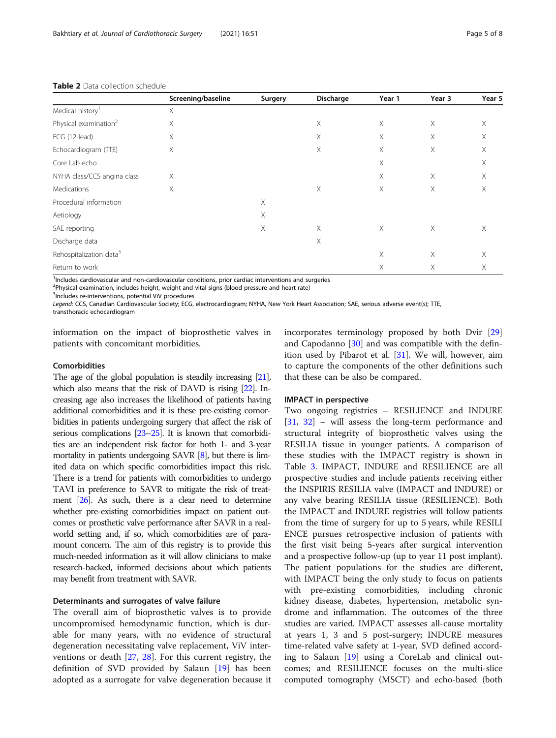|                                     | Screening/baseline | Surgery | Discharge | Year 1 | Year 3   | Year 5 |
|-------------------------------------|--------------------|---------|-----------|--------|----------|--------|
| Medical history <sup>1</sup>        | X.                 |         |           |        |          |        |
| Physical examination <sup>2</sup>   | Χ                  |         | $\times$  | Χ      | X        | X      |
| ECG (12-lead)                       | $\times$           |         | $\times$  | Χ      | X        | X      |
| Echocardiogram (TTE)                | Χ                  |         | $\times$  | Χ      | X        | Χ      |
| Core Lab echo                       |                    |         |           | X      |          | X      |
| NYHA class/CCS angina class         | X                  |         |           | X      | X        | X      |
| Medications                         | X                  |         | $\times$  | X      | X        | X      |
| Procedural information              |                    | X       |           |        |          |        |
| Aetiology                           |                    | X       |           |        |          |        |
| SAE reporting                       |                    | X       | $\times$  | X      | $\times$ | X      |
| Discharge data                      |                    |         | $\times$  |        |          |        |
| Rehospitalization data <sup>3</sup> |                    |         |           | X      | X        | X      |
| Return to work                      |                    |         |           | Χ      | X        | Χ      |

#### <span id="page-4-0"></span>Table 2 Data collection schedule

<sup>1</sup>Includes cardiovascular and non-cardiovascular conditions, prior cardiac interventions and surgeries

<sup>2</sup>Physical examination, includes height, weight and vital signs (blood pressure and heart rate)

<sup>3</sup>Includes re-interventions, potential ViV procedures

Legend: CCS, Canadian Cardiovascular Society; ECG, electrocardiogram; NYHA, New York Heart Association; SAE, serious adverse event(s); TTE,

transthoracic echocardiogram

information on the impact of bioprosthetic valves in patients with concomitant morbidities.

#### Comorbidities

The age of the global population is steadily increasing [\[21\]](#page-7-0), which also means that the risk of DAVD is rising [\[22](#page-7-0)]. Increasing age also increases the likelihood of patients having additional comorbidities and it is these pre-existing comorbidities in patients undergoing surgery that affect the risk of serious complications [\[23](#page-7-0)–[25](#page-7-0)]. It is known that comorbidities are an independent risk factor for both 1- and 3-year mortality in patients undergoing SAVR [\[8](#page-6-0)], but there is limited data on which specific comorbidities impact this risk. There is a trend for patients with comorbidities to undergo TAVI in preference to SAVR to mitigate the risk of treatment [\[26](#page-7-0)]. As such, there is a clear need to determine whether pre-existing comorbidities impact on patient outcomes or prosthetic valve performance after SAVR in a realworld setting and, if so, which comorbidities are of paramount concern. The aim of this registry is to provide this much-needed information as it will allow clinicians to make research-backed, informed decisions about which patients may benefit from treatment with SAVR.

#### Determinants and surrogates of valve failure

The overall aim of bioprosthetic valves is to provide uncompromised hemodynamic function, which is durable for many years, with no evidence of structural degeneration necessitating valve replacement, ViV interventions or death [[27,](#page-7-0) [28](#page-7-0)]. For this current registry, the definition of SVD provided by Salaun [\[19\]](#page-7-0) has been adopted as a surrogate for valve degeneration because it incorporates terminology proposed by both Dvir [[29](#page-7-0)] and Capodanno [\[30](#page-7-0)] and was compatible with the definition used by Pibarot et al. [\[31\]](#page-7-0). We will, however, aim to capture the components of the other definitions such that these can be also be compared.

#### IMPACT in perspective

Two ongoing registries – RESILIENCE and INDURE [[31,](#page-7-0) [32\]](#page-7-0) – will assess the long-term performance and structural integrity of bioprosthetic valves using the RESILIA tissue in younger patients. A comparison of these studies with the IMPACT registry is shown in Table [3.](#page-5-0) IMPACT, INDURE and RESILIENCE are all prospective studies and include patients receiving either the INSPIRIS RESILIA valve (IMPACT and INDURE) or any valve bearing RESILIA tissue (RESILIENCE). Both the IMPACT and INDURE registries will follow patients from the time of surgery for up to 5 years, while RESILI ENCE pursues retrospective inclusion of patients with the first visit being 5-years after surgical intervention and a prospective follow-up (up to year 11 post implant). The patient populations for the studies are different, with IMPACT being the only study to focus on patients with pre-existing comorbidities, including chronic kidney disease, diabetes, hypertension, metabolic syndrome and inflammation. The outcomes of the three studies are varied. IMPACT assesses all-cause mortality at years 1, 3 and 5 post-surgery; INDURE measures time-related valve safety at 1-year, SVD defined according to Salaun [[19\]](#page-7-0) using a CoreLab and clinical outcomes; and RESILIENCE focuses on the multi-slice computed tomography (MSCT) and echo-based (both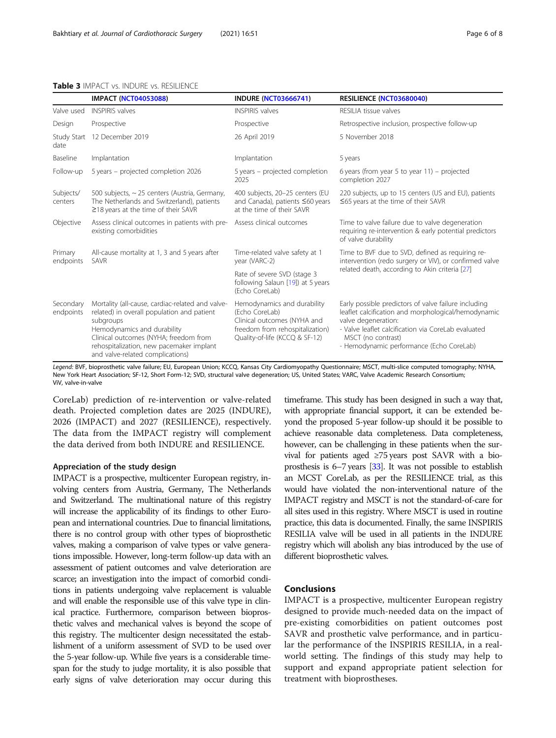#### <span id="page-5-0"></span>Table 3 IMPACT vs. INDURE vs. RESILIENCE

|                        | <b>IMPACT (NCT04053088)</b>                                                                                                                                                                                                                                         | <b>INDURE (NCT03666741)</b>                                                                                                                       | RESILIENCE (NCT03680040)                                                                                                                                                                                                                                    |
|------------------------|---------------------------------------------------------------------------------------------------------------------------------------------------------------------------------------------------------------------------------------------------------------------|---------------------------------------------------------------------------------------------------------------------------------------------------|-------------------------------------------------------------------------------------------------------------------------------------------------------------------------------------------------------------------------------------------------------------|
| Valve used             | <b>INSPIRIS valves</b>                                                                                                                                                                                                                                              | <b>INSPIRIS valves</b>                                                                                                                            | RESILIA tissue valves                                                                                                                                                                                                                                       |
| Design                 | Prospective                                                                                                                                                                                                                                                         | Prospective                                                                                                                                       | Retrospective inclusion, prospective follow-up                                                                                                                                                                                                              |
| Study Start<br>date    | 12 December 2019                                                                                                                                                                                                                                                    | 26 April 2019                                                                                                                                     | 5 November 2018                                                                                                                                                                                                                                             |
| Baseline               | Implantation                                                                                                                                                                                                                                                        | Implantation                                                                                                                                      | 5 years                                                                                                                                                                                                                                                     |
| Follow-up              | 5 years - projected completion 2026                                                                                                                                                                                                                                 | 5 years - projected completion<br>2025                                                                                                            | 6 years (from year 5 to year $11$ ) – projected<br>completion 2027                                                                                                                                                                                          |
| Subjects/<br>centers   | 500 subjects, ~ 25 centers (Austria, Germany,<br>The Netherlands and Switzerland), patients<br>$\geq$ 18 years at the time of their SAVR                                                                                                                            | 400 subjects, 20-25 centers (EU<br>and Canada), patients ≤60 years<br>at the time of their SAVR                                                   | 220 subjects, up to 15 centers (US and EU), patients<br>$\leq$ 65 years at the time of their SAVR                                                                                                                                                           |
| Objective              | Assess clinical outcomes in patients with pre-<br>existing comorbidities                                                                                                                                                                                            | Assess clinical outcomes                                                                                                                          | Time to valve failure due to valve degeneration<br>requiring re-intervention & early potential predictors<br>of valve durability                                                                                                                            |
| Primary<br>endpoints   | All-cause mortality at 1, 3 and 5 years after<br>SAVR                                                                                                                                                                                                               | Time-related valve safety at 1<br>year (VARC-2)                                                                                                   | Time to BVF due to SVD, defined as requiring re-<br>intervention (redo surgery or ViV), or confirmed valve                                                                                                                                                  |
|                        |                                                                                                                                                                                                                                                                     | Rate of severe SVD (stage 3<br>following Salaun [19]) at 5 years<br>(Echo CoreLab)                                                                | related death, according to Akin criteria [27]                                                                                                                                                                                                              |
| Secondary<br>endpoints | Mortality (all-cause, cardiac-related and valve-<br>related) in overall population and patient<br>subgroups<br>Hemodynamics and durability<br>Clinical outcomes (NYHA; freedom from<br>rehospitalization, new pacemaker implant<br>and valve-related complications) | Hemodynamics and durability<br>(Echo CoreLab)<br>Clinical outcomes (NYHA and<br>freedom from rehospitalization)<br>Quality-of-life (KCCQ & SF-12) | Early possible predictors of valve failure including<br>leaflet calcification and morphological/hemodynamic<br>valve degeneration:<br>- Valve leaflet calcification via CoreLab evaluated<br>MSCT (no contrast)<br>- Hemodynamic performance (Echo CoreLab) |

Legend: BVF, bioprosthetic valve failure; EU, European Union; KCCQ, Kansas City Cardiomyopathy Questionnaire; MSCT, multi-slice computed tomography; NYHA, New York Heart Association; SF-12, Short Form-12; SVD, structural valve degeneration; US, United States; VARC, Valve Academic Research Consortium; ViV, valve-in-valve

CoreLab) prediction of re-intervention or valve-related death. Projected completion dates are 2025 (INDURE), 2026 (IMPACT) and 2027 (RESILIENCE), respectively. The data from the IMPACT registry will complement the data derived from both INDURE and RESILIENCE.

#### Appreciation of the study design

IMPACT is a prospective, multicenter European registry, involving centers from Austria, Germany, The Netherlands and Switzerland. The multinational nature of this registry will increase the applicability of its findings to other European and international countries. Due to financial limitations, there is no control group with other types of bioprosthetic valves, making a comparison of valve types or valve generations impossible. However, long-term follow-up data with an assessment of patient outcomes and valve deterioration are scarce; an investigation into the impact of comorbid conditions in patients undergoing valve replacement is valuable and will enable the responsible use of this valve type in clinical practice. Furthermore, comparison between bioprosthetic valves and mechanical valves is beyond the scope of this registry. The multicenter design necessitated the establishment of a uniform assessment of SVD to be used over the 5-year follow-up. While five years is a considerable timespan for the study to judge mortality, it is also possible that early signs of valve deterioration may occur during this

timeframe. This study has been designed in such a way that, with appropriate financial support, it can be extended beyond the proposed 5-year follow-up should it be possible to achieve reasonable data completeness. Data completeness, however, can be challenging in these patients when the survival for patients aged ≥75 years post SAVR with a bioprosthesis is 6–7 years [[33\]](#page-7-0). It was not possible to establish an MCST CoreLab, as per the RESILIENCE trial, as this would have violated the non-interventional nature of the IMPACT registry and MSCT is not the standard-of-care for all sites used in this registry. Where MSCT is used in routine practice, this data is documented. Finally, the same INSPIRIS RESILIA valve will be used in all patients in the INDURE registry which will abolish any bias introduced by the use of different bioprosthetic valves.

## Conclusions

IMPACT is a prospective, multicenter European registry designed to provide much-needed data on the impact of pre-existing comorbidities on patient outcomes post SAVR and prosthetic valve performance, and in particular the performance of the INSPIRIS RESILIA, in a realworld setting. The findings of this study may help to support and expand appropriate patient selection for treatment with bioprostheses.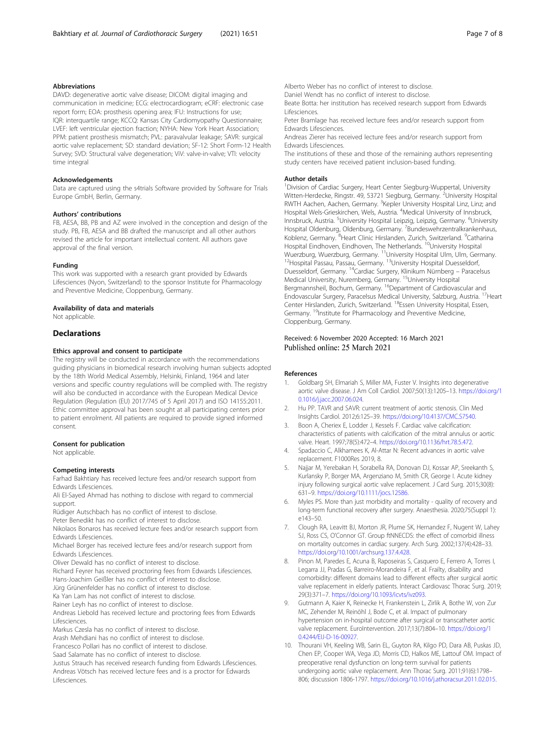#### <span id="page-6-0"></span>Abbreviations

DAVD: degenerative aortic valve disease; DICOM: digital imaging and communication in medicine; ECG: electrocardiogram; eCRF: electronic case report form; EOA: prosthesis opening area; IFU: Instructions for use; IQR: interquartile range; KCCQ: Kansas City Cardiomyopathy Questionnaire; LVEF: left ventricular ejection fraction; NYHA: New York Heart Association; PPM: patient prosthesis mismatch; PVL: paravalvular leakage; SAVR: surgical aortic valve replacement; SD: standard deviation; SF-12: Short Form-12 Health Survey; SVD: Structural valve degeneration; ViV: valve-in-valve; VTI: velocity time integral

#### Acknowledgements

Data are captured using the s4trials Software provided by Software for Trials Europe GmbH, Berlin, Germany.

#### Authors' contributions

FB, AESA, BB, PB and AZ were involved in the conception and design of the study. PB, FB, AESA and BB drafted the manuscript and all other authors revised the article for important intellectual content. All authors gave approval of the final version.

#### Funding

This work was supported with a research grant provided by Edwards Lifesciences (Nyon, Switzerland) to the sponsor Institute for Pharmacology and Preventive Medicine, Cloppenburg, Germany.

#### Availability of data and materials

Not applicable.

#### **Declarations**

#### Ethics approval and consent to participate

The registry will be conducted in accordance with the recommendations guiding physicians in biomedical research involving human subjects adopted by the 18th World Medical Assembly, Helsinki, Finland, 1964 and later versions and specific country regulations will be complied with. The registry will also be conducted in accordance with the European Medical Device Regulation (Regulation (EU) 2017/745 of 5 April 2017) and ISO 14155:2011. Ethic committee approval has been sought at all participating centers prior to patient enrolment. All patients are required to provide signed informed consent.

#### Consent for publication

Not applicable.

#### Competing interests

Farhad Bakhtiary has received lecture fees and/or research support from Edwards Lifesciences.

Ali El-Sayed Ahmad has nothing to disclose with regard to commercial support.

Rüdiger Autschbach has no conflict of interest to disclose.

Peter Benedikt has no conflict of interest to disclose.

Nikolaos Bonaros has received lecture fees and/or research support from Edwards Lifesciences.

Michael Borger has received lecture fees and/or research support from Edwards Lifesciences.

Oliver Dewald has no conflict of interest to disclose.

Richard Feyrer has received proctoring fees from Edwards Lifesciences. Hans-Joachim Geißler has no conflict of interest to disclose.

Jürg Grünenfelder has no conflict of interest to disclose.

Ka Yan Lam has not conflict of interest to disclose.

Rainer Leyh has no conflict of interest to disclose.

Andreas Liebold has received lecture and proctoring fees from Edwards Lifesciences.

Markus Czesla has no conflict of interest to disclose.

Arash Mehdiani has no conflict of interest to disclose.

Francesco Pollari has no conflict of interest to disclose.

Saad Salamate has no conflict of interest to disclose.

Justus Strauch has received research funding from Edwards Lifesciences. Andreas Vötsch has received lecture fees and is a proctor for Edwards Lifesciences.

Alberto Weber has no conflict of interest to disclose. Daniel Wendt has no conflict of interest to disclose.

Beate Botta: her institution has received research support from Edwards Lifesciences.

Peter Bramlage has received lecture fees and/or research support from Edwards Lifesciences.

Andreas Zierer has received lecture fees and/or research support from Edwards Lifesciences.

The institutions of these and those of the remaining authors representing study centers have received patient inclusion-based funding.

#### Author details

<sup>1</sup> Division of Cardiac Surgery, Heart Center Siegburg-Wuppertal, University Witten-Herdecke, Ringstr. 49, 53721 Siegburg, Germany. <sup>2</sup>University Hospital RWTH Aachen, Aachen, Germany. <sup>3</sup>Kepler University Hospital Linz, Linz; and Hospital Wels-Grieskirchen, Wels, Austria. <sup>4</sup>Medical University of Innsbruck, Innsbruck, Austria. <sup>5</sup>University Hospital Leipzig, Leipzig, Germany. <sup>6</sup>University Hospital Oldenburg, Oldenburg, Germany. <sup>7</sup>Bundeswehrzentralkrankenhaus, Koblenz, Germany. <sup>8</sup>Heart Clinic Hirslanden, Zurich, Switzerland. <sup>9</sup>Catharina Hospital Eindhoven, Eindhoven, The Netherlands. <sup>10</sup>University Hospital Wuerzburg, Wuerzburg, Germany. <sup>11</sup>University Hospital Ulm, Ulm, Germany.<br><sup>12</sup>Hospital Passau, Passau, Germany. <sup>13</sup>University Hospital Duesseldorf, Duesseldorf, Germany. 14Cardiac Surgery, Klinikum Nürnberg – Paracelsus Medical University, Nuremberg, Germany. 15University Hospital Bergmannsheil, Bochum, Germany. 16Department of Cardiovascular and Endovascular Surgery, Paracelsus Medical University, Salzburg, Austria. 17Heart Center Hirslanden, Zurich, Switzerland. 18Essen University Hospital, Essen, Germany. <sup>19</sup>Institute for Pharmacology and Preventive Medicine, Cloppenburg, Germany.

#### Received: 6 November 2020 Accepted: 16 March 2021 Published online: 25 March 2021

#### References

- 1. Goldbarg SH, Elmariah S, Miller MA, Fuster V. Insights into degenerative aortic valve disease. J Am Coll Cardiol. 2007;50(13):1205–13. [https://doi.org/1](https://doi.org/10.1016/j.jacc.2007.06.024) [0.1016/j.jacc.2007.06.024](https://doi.org/10.1016/j.jacc.2007.06.024).
- 2. Hu PP. TAVR and SAVR: current treatment of aortic stenosis. Clin Med Insights Cardiol. 2012;6:125–39. [https://doi.org/10.4137/CMC.S7540.](https://doi.org/10.4137/CMC.S7540)
- 3. Boon A, Cheriex E, Lodder J, Kessels F. Cardiac valve calcification: characteristics of patients with calcification of the mitral annulus or aortic valve. Heart. 1997;78(5):472–4. [https://doi.org/10.1136/hrt.78.5.472.](https://doi.org/10.1136/hrt.78.5.472)
- 4. Spadaccio C, Alkhamees K, Al-Attar N: Recent advances in aortic valve replacement. F1000Res 2019, 8.
- 5. Najjar M, Yerebakan H, Sorabella RA, Donovan DJ, Kossar AP, Sreekanth S, Kurlansky P, Borger MA, Argenziano M, Smith CR, George I. Acute kidney injury following surgical aortic valve replacement. J Card Surg. 2015;30(8): 631–9. [https://doi.org/10.1111/jocs.12586.](https://doi.org/10.1111/jocs.12586)
- 6. Myles PS. More than just morbidity and mortality quality of recovery and long-term functional recovery after surgery. Anaesthesia. 2020;75(Suppl 1): e143–50.
- 7. Clough RA, Leavitt BJ, Morton JR, Plume SK, Hernandez F, Nugent W, Lahey SJ, Ross CS, O'Connor GT. Group ftNNECDS: the effect of comorbid illness on mortality outcomes in cardiac surgery. Arch Surg. 2002;137(4):428–33. [https://doi.org/10.1001/archsurg.137.4.428.](https://doi.org/10.1001/archsurg.137.4.428)
- Pinon M, Paredes E, Acuna B, Raposeiras S, Casquero E, Ferrero A, Torres I, Legarra JJ, Pradas G, Barreiro-Morandeira F, et al. Frailty, disability and comorbidity: different domains lead to different effects after surgical aortic valve replacement in elderly patients. Interact Cardiovasc Thorac Surg. 2019; 29(3):371–7. <https://doi.org/10.1093/icvts/ivz093>.
- 9. Gutmann A, Kaier K, Reinecke H, Frankenstein L, Zirlik A, Bothe W, von Zur MC, Zehender M, Reinöhl J, Bode C, et al. Impact of pulmonary hypertension on in-hospital outcome after surgical or transcatheter aortic valve replacement. EuroIntervention. 2017;13(7):804–10. [https://doi.org/1](https://doi.org/10.4244/EIJ-D-16-00927) [0.4244/EIJ-D-16-00927](https://doi.org/10.4244/EIJ-D-16-00927).
- 10. Thourani VH, Keeling WB, Sarin EL, Guyton RA, Kilgo PD, Dara AB, Puskas JD, Chen EP, Cooper WA, Vega JD, Morris CD, Halkos ME, Lattouf OM. Impact of preoperative renal dysfunction on long-term survival for patients undergoing aortic valve replacement. Ann Thorac Surg. 2011;91(6):1798– 806; discussion 1806-1797. [https://doi.org/10.1016/j.athoracsur.2011.02.015.](https://doi.org/10.1016/j.athoracsur.2011.02.015)